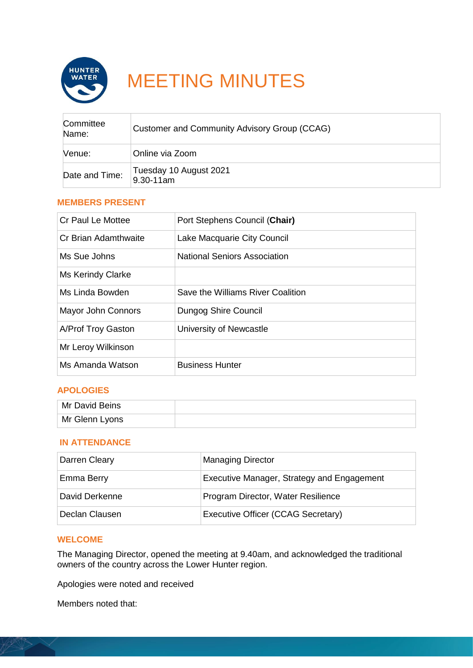

# MEETING MINUTES

| Committee<br>Name: | Customer and Community Advisory Group (CCAG) |
|--------------------|----------------------------------------------|
| Venue:             | Online via Zoom                              |
| Date and Time:     | Tuesday 10 August 2021<br>9.30-11am          |

### **MEMBERS PRESENT**

| Cr Paul Le Mottee         | Port Stephens Council (Chair)       |
|---------------------------|-------------------------------------|
| Cr Brian Adamthwaite      | Lake Macquarie City Council         |
| Ms Sue Johns              | <b>National Seniors Association</b> |
| Ms Kerindy Clarke         |                                     |
| Ms Linda Bowden           | Save the Williams River Coalition   |
| <b>Mayor John Connors</b> | Dungog Shire Council                |
| A/Prof Troy Gaston        | University of Newcastle             |
| Mr Leroy Wilkinson        |                                     |
| Ms Amanda Watson          | <b>Business Hunter</b>              |

#### **APOLOGIES**

| Mr David Beins |  |
|----------------|--|
| Mr Glenn Lyons |  |

#### **IN ATTENDANCE**

| Darren Cleary  | <b>Managing Director</b>                   |
|----------------|--------------------------------------------|
| Emma Berry     | Executive Manager, Strategy and Engagement |
| David Derkenne | Program Director, Water Resilience         |
| Declan Clausen | Executive Officer (CCAG Secretary)         |

## **WELCOME**

The Managing Director, opened the meeting at 9.40am, and acknowledged the traditional owners of the country across the Lower Hunter region.

Apologies were noted and received

Members noted that: